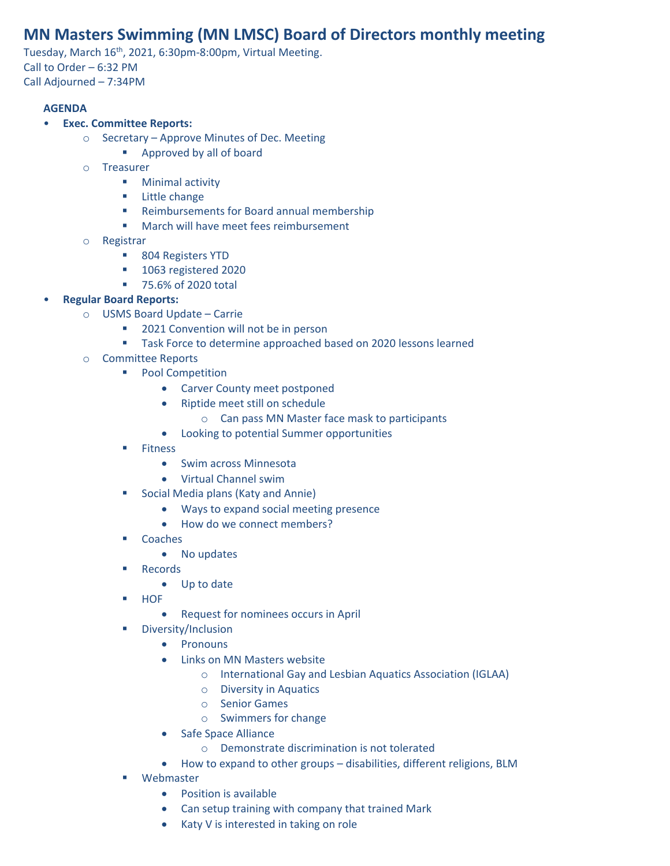# **MN Masters Swimming (MN LMSC) Board of Directors monthly meeting**

Tuesday, March 16<sup>th</sup>, 2021, 6:30pm-8:00pm, Virtual Meeting. Call to Order – 6:32 PM Call Adjourned – 7:34PM

#### **AGENDA**

#### • **Exec. Committee Reports:**

- o Secretary Approve Minutes of Dec. Meeting
	- Approved by all of board
- o Treasurer
	- Minimal activity
	- Little change
	- Reimbursements for Board annual membership
	- March will have meet fees reimbursement
- o Registrar
	- 804 Registers YTD
	- 1063 registered 2020
	- 75.6% of 2020 total
- **Regular Board Reports:**
	- o USMS Board Update Carrie
		- 2021 Convention will not be in person
		- Task Force to determine approached based on 2020 lessons learned
	- o Committee Reports
		- Pool Competition
			- Carver County meet postponed
			- Riptide meet still on schedule
				- o Can pass MN Master face mask to participants
			- Looking to potential Summer opportunities
		- Fitness
			- Swim across Minnesota
			- Virtual Channel swim
		- Social Media plans (Katy and Annie)
			- Ways to expand social meeting presence
			- How do we connect members?
		- Coaches
			- No updates
		- Records
			- Up to date
		- HOF
			- Request for nominees occurs in April
		- Diversity/Inclusion
			- Pronouns
				- Links on MN Masters website
					- o International Gay and Lesbian Aquatics Association (IGLAA)
					- o Diversity in Aquatics
					- o Senior Games
					- o Swimmers for change
			- Safe Space Alliance
				- o Demonstrate discrimination is not tolerated
			- How to expand to other groups disabilities, different religions, BLM
		- Webmaster
			- Position is available
			- Can setup training with company that trained Mark
			- Katy V is interested in taking on role